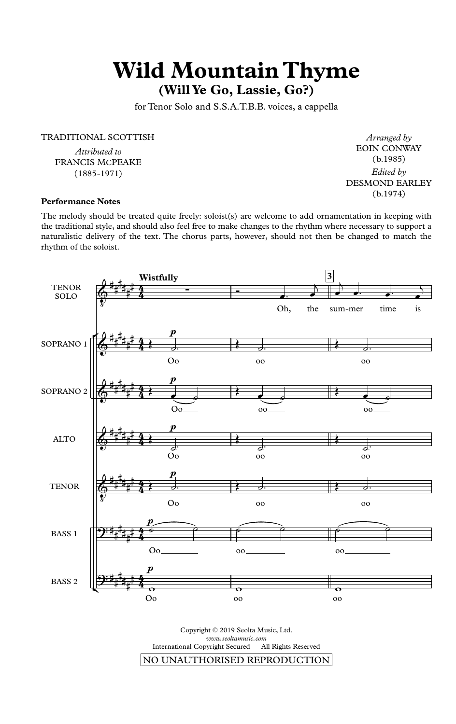## **Wild Mountain Thyme** (Will Ye Go, Lassie, Go?)

for Tenor Solo and S.S.A.T.B.B. voices, a cappella

## TRADITIONAL SCOTTISH

Attributed to **FRANCIS MCPEAKE**  $(1885 - 1971)$ 

Arranged by **EOIN CONWAY**  $(b.1985)$ Edited by DESMOND EARLEY  $(b.1974)$ 

## **Performance Notes**

The melody should be treated quite freely: soloist(s) are welcome to add ornamentation in keeping with the traditional style, and should also feel free to make changes to the rhythm where necessary to support a naturalistic delivery of the text. The chorus parts, however, should not then be changed to match the rhythm of the soloist.



Copyright © 2019 Seolta Music, Ltd. www.seoltamusic.com **International Copyright Secured** All Rights Reserved NO UNAUTHORISED REPRODUCTION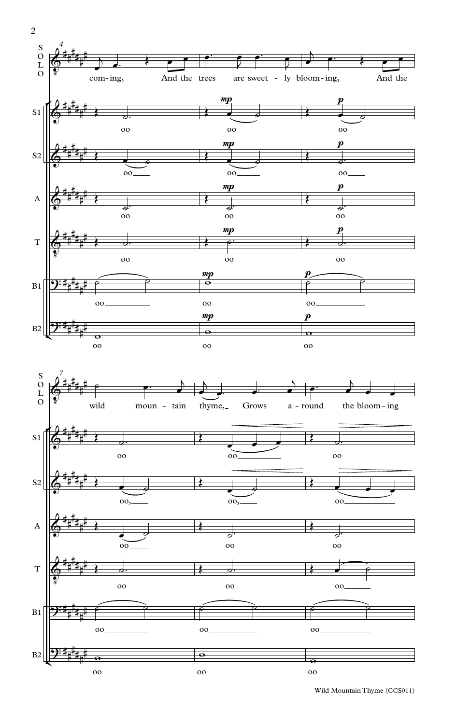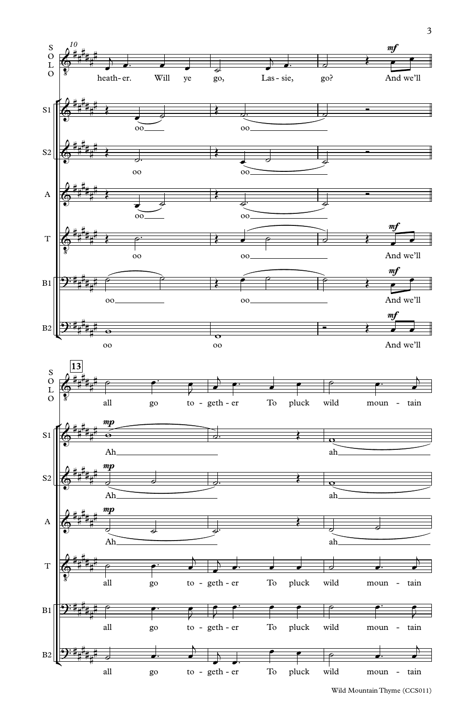

Wild Mountain Thyme (CCS011)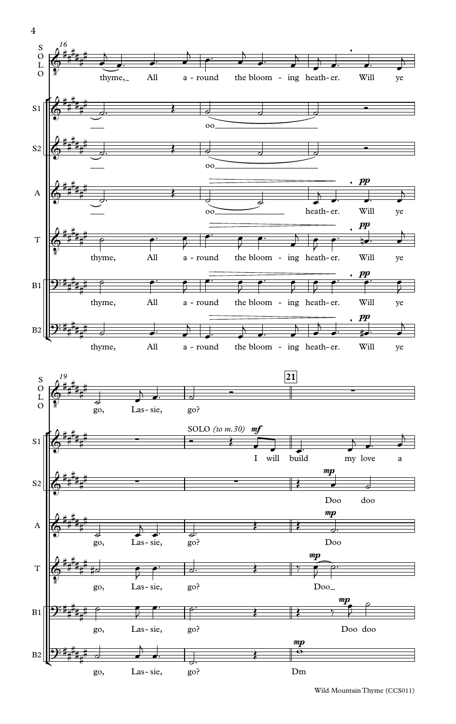![](_page_3_Figure_0.jpeg)

Wild Mountain Thyme (CCS011)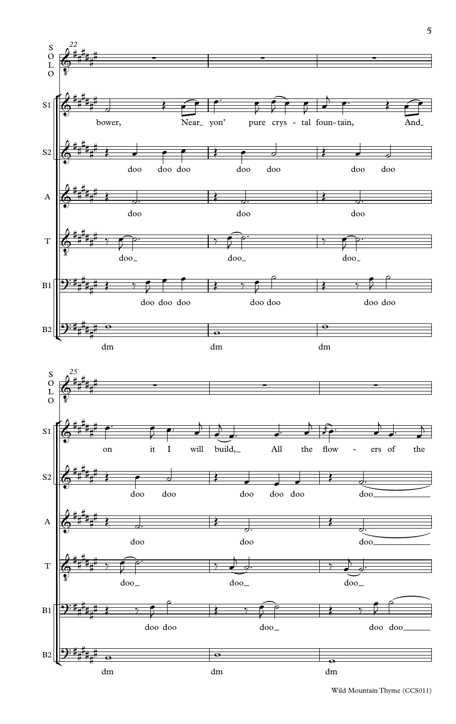![](_page_4_Figure_0.jpeg)